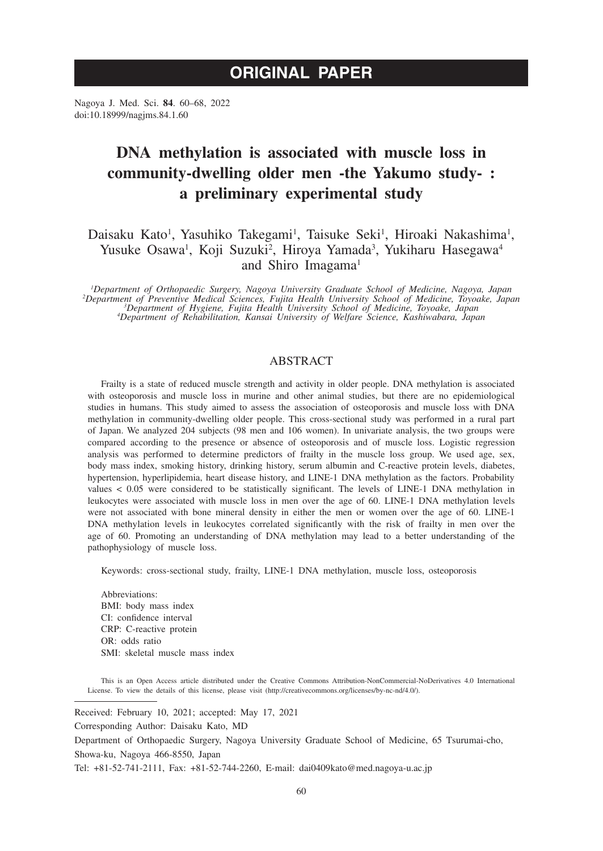# **ORIGINAL PAPER**

Nagoya J. Med. Sci. **84**. 60–68, 2022 doi:10.18999/nagjms.84.1.60

# **DNA methylation is associated with muscle loss in community-dwelling older men -the Yakumo study- : a preliminary experimental study**

# Daisaku Kato<sup>1</sup>, Yasuhiko Takegami<sup>1</sup>, Taisuke Seki<sup>1</sup>, Hiroaki Nakashima<sup>1</sup>, Yusuke Osawa<sup>1</sup>, Koji Suzuki<sup>2</sup>, Hiroya Yamada<sup>3</sup>, Yukiharu Hasegawa<sup>4</sup> and Shiro Imagama<sup>1</sup>

<sup>1</sup>Department of Orthopaedic Surgery, Nagoya University Graduate School of Medicine, Nagoya, Japan <sup>1</sup>Department of Orthopaedic Surgery, Nagoya University Graduate School of Medicine, Nagoya, Japan<br><sup>2</sup>Department of Preventive Medical Sciences, Fujita Health University School of Medicine, Toyoake, Japan<sup>2</sup><br><sup>3</sup>Department

## ABSTRACT

Frailty is a state of reduced muscle strength and activity in older people. DNA methylation is associated with osteoporosis and muscle loss in murine and other animal studies, but there are no epidemiological studies in humans. This study aimed to assess the association of osteoporosis and muscle loss with DNA methylation in community-dwelling older people. This cross-sectional study was performed in a rural part of Japan. We analyzed 204 subjects (98 men and 106 women). In univariate analysis, the two groups were compared according to the presence or absence of osteoporosis and of muscle loss. Logistic regression analysis was performed to determine predictors of frailty in the muscle loss group. We used age, sex, body mass index, smoking history, drinking history, serum albumin and C-reactive protein levels, diabetes, hypertension, hyperlipidemia, heart disease history, and LINE-1 DNA methylation as the factors. Probability values < 0.05 were considered to be statistically significant. The levels of LINE-1 DNA methylation in leukocytes were associated with muscle loss in men over the age of 60. LINE-1 DNA methylation levels were not associated with bone mineral density in either the men or women over the age of 60. LINE-1 DNA methylation levels in leukocytes correlated significantly with the risk of frailty in men over the age of 60. Promoting an understanding of DNA methylation may lead to a better understanding of the pathophysiology of muscle loss.

Keywords: cross-sectional study, frailty, LINE-1 DNA methylation, muscle loss, osteoporosis

Abbreviations: BMI: body mass index CI: confidence interval CRP: C-reactive protein OR: odds ratio SMI: skeletal muscle mass index

This is an Open Access article distributed under the Creative Commons Attribution-NonCommercial-NoDerivatives 4.0 International License. To view the details of this license, please visit (http://creativecommons.org/licenses/by-nc-nd/4.0/).

Received: February 10, 2021; accepted: May 17, 2021

Corresponding Author: Daisaku Kato, MD

Department of Orthopaedic Surgery, Nagoya University Graduate School of Medicine, 65 Tsurumai-cho, Showa-ku, Nagoya 466-8550, Japan

Tel: +81-52-741-2111, Fax: +81-52-744-2260, E-mail: dai0409kato@med.nagoya-u.ac.jp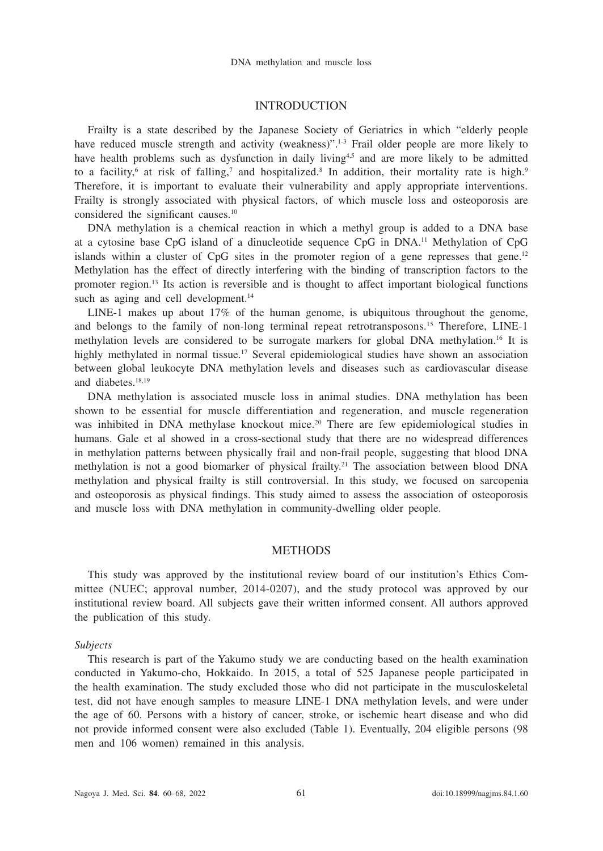#### **INTRODUCTION**

Frailty is a state described by the Japanese Society of Geriatrics in which "elderly people have reduced muscle strength and activity (weakness)".<sup>1-3</sup> Frail older people are more likely to have health problems such as dysfunction in daily living<sup>4,5</sup> and are more likely to be admitted to a facility,<sup>6</sup> at risk of falling,<sup>7</sup> and hospitalized.<sup>8</sup> In addition, their mortality rate is high.<sup>9</sup> Therefore, it is important to evaluate their vulnerability and apply appropriate interventions. Frailty is strongly associated with physical factors, of which muscle loss and osteoporosis are considered the significant causes.<sup>10</sup>

DNA methylation is a chemical reaction in which a methyl group is added to a DNA base at a cytosine base CpG island of a dinucleotide sequence CpG in DNA.11 Methylation of CpG islands within a cluster of  $CpG$  sites in the promoter region of a gene represses that gene.<sup>12</sup> Methylation has the effect of directly interfering with the binding of transcription factors to the promoter region.13 Its action is reversible and is thought to affect important biological functions such as aging and cell development.<sup>14</sup>

LINE-1 makes up about 17% of the human genome, is ubiquitous throughout the genome, and belongs to the family of non-long terminal repeat retrotransposons.<sup>15</sup> Therefore, LINE-1 methylation levels are considered to be surrogate markers for global DNA methylation.<sup>16</sup> It is highly methylated in normal tissue.<sup>17</sup> Several epidemiological studies have shown an association between global leukocyte DNA methylation levels and diseases such as cardiovascular disease and diabetes.18,19

DNA methylation is associated muscle loss in animal studies. DNA methylation has been shown to be essential for muscle differentiation and regeneration, and muscle regeneration was inhibited in DNA methylase knockout mice.<sup>20</sup> There are few epidemiological studies in humans. Gale et al showed in a cross-sectional study that there are no widespread differences in methylation patterns between physically frail and non-frail people, suggesting that blood DNA methylation is not a good biomarker of physical frailty.<sup>21</sup> The association between blood DNA methylation and physical frailty is still controversial. In this study, we focused on sarcopenia and osteoporosis as physical findings. This study aimed to assess the association of osteoporosis and muscle loss with DNA methylation in community-dwelling older people.

## **METHODS**

This study was approved by the institutional review board of our institution's Ethics Committee (NUEC; approval number, 2014-0207), and the study protocol was approved by our institutional review board. All subjects gave their written informed consent. All authors approved the publication of this study.

#### *Subjects*

This research is part of the Yakumo study we are conducting based on the health examination conducted in Yakumo-cho, Hokkaido. In 2015, a total of 525 Japanese people participated in the health examination. The study excluded those who did not participate in the musculoskeletal test, did not have enough samples to measure LINE-1 DNA methylation levels, and were under the age of 60. Persons with a history of cancer, stroke, or ischemic heart disease and who did not provide informed consent were also excluded (Table 1). Eventually, 204 eligible persons (98 men and 106 women) remained in this analysis.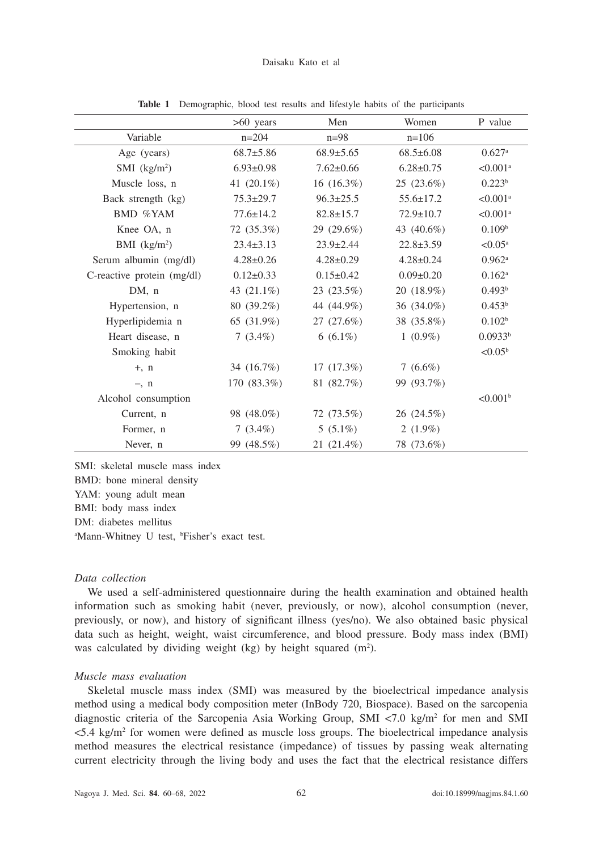#### Daisaku Kato et al

|                            | >60 years       | Men             | Women           | P value                |
|----------------------------|-----------------|-----------------|-----------------|------------------------|
| Variable                   | $n=204$         | $n=98$          | $n=106$         |                        |
| Age (years)                | $68.7 \pm 5.86$ | $68.9 \pm 5.65$ | $68.5 \pm 6.08$ | $0.627$ <sup>a</sup>   |
| $SMI$ (kg/m <sup>2</sup> ) | $6.93 \pm 0.98$ | $7.62 \pm 0.66$ | $6.28 \pm 0.75$ | $< 0.001$ <sup>a</sup> |
| Muscle loss, n             | 41 $(20.1\%)$   | 16 $(16.3\%)$   | 25 (23.6%)      | 0.223 <sup>b</sup>     |
| Back strength (kg)         | $75.3 \pm 29.7$ | $96.3 \pm 25.5$ | $55.6 \pm 17.2$ | $< 0.001$ <sup>a</sup> |
| BMD %YAM                   | $77.6 \pm 14.2$ | $82.8 \pm 15.7$ | $72.9 \pm 10.7$ | $< 0.001$ <sup>a</sup> |
| Knee OA, n                 | 72 (35.3%)      | $29(29.6\%)$    | 43 (40.6%)      | 0.109 <sup>b</sup>     |
| BMI $(kg/m2)$              | $23.4 \pm 3.13$ | $23.9 \pm 2.44$ | $22.8 \pm 3.59$ | $< 0.05^{\text{a}}$    |
| Serum albumin (mg/dl)      | $4.28 \pm 0.26$ | $4.28 \pm 0.29$ | $4.28 \pm 0.24$ | $0.962$ <sup>a</sup>   |
| C-reactive protein (mg/dl) | $0.12 \pm 0.33$ | $0.15 \pm 0.42$ | $0.09 \pm 0.20$ | $0.162^{\rm a}$        |
| DM, n                      | 43 $(21.1\%)$   | $23(23.5\%)$    | 20 (18.9%)      | 0.493 <sup>b</sup>     |
| Hypertension, n            | 80 (39.2%)      | 44 (44.9%)      | 36 (34.0%)      | 0.453 <sup>b</sup>     |
| Hyperlipidemia n           | 65 (31.9%)      | 27(27.6%)       | 38 (35.8%)      | 0.102 <sup>b</sup>     |
| Heart disease, n           | 7 $(3.4\%)$     | 6 $(6.1\%)$     | $1(0.9\%)$      | 0.0933 <sup>b</sup>    |
| Smoking habit              |                 |                 |                 | $< 0.05^{\rm b}$       |
| $+, n$                     | 34 (16.7%)      | $17(17.3\%)$    | 7 $(6.6\%)$     |                        |
| $-$ , n                    | 170 (83.3%)     | 81 (82.7%)      | 99 (93.7%)      |                        |
| Alcohol consumption        |                 |                 |                 | $< 0.001^{\rm b}$      |
| Current, n                 | 98 (48.0%)      | 72 (73.5%)      | 26 (24.5%)      |                        |
| Former, n                  | $7(3.4\%)$      | $5(5.1\%)$      | 2 $(1.9\%)$     |                        |
| Never, n                   | 99 (48.5%)      | $21(21.4\%)$    | 78 (73.6%)      |                        |

**Table 1** Demographic, blood test results and lifestyle habits of the participants

SMI: skeletal muscle mass index BMD: bone mineral density YAM: young adult mean BMI: body mass index DM: diabetes mellitus <sup>a</sup>Mann-Whitney U test, <sup>b</sup>Fisher's exact test.

### *Data collection*

We used a self-administered questionnaire during the health examination and obtained health information such as smoking habit (never, previously, or now), alcohol consumption (never, previously, or now), and history of significant illness (yes/no). We also obtained basic physical data such as height, weight, waist circumference, and blood pressure. Body mass index (BMI) was calculated by dividing weight (kg) by height squared  $(m<sup>2</sup>)$ .

### *Muscle mass evaluation*

Skeletal muscle mass index (SMI) was measured by the bioelectrical impedance analysis method using a medical body composition meter (InBody 720, Biospace). Based on the sarcopenia diagnostic criteria of the Sarcopenia Asia Working Group, SMI <7.0 kg/m<sup>2</sup> for men and SMI  $\leq$ 5.4 kg/m<sup>2</sup> for women were defined as muscle loss groups. The bioelectrical impedance analysis method measures the electrical resistance (impedance) of tissues by passing weak alternating current electricity through the living body and uses the fact that the electrical resistance differs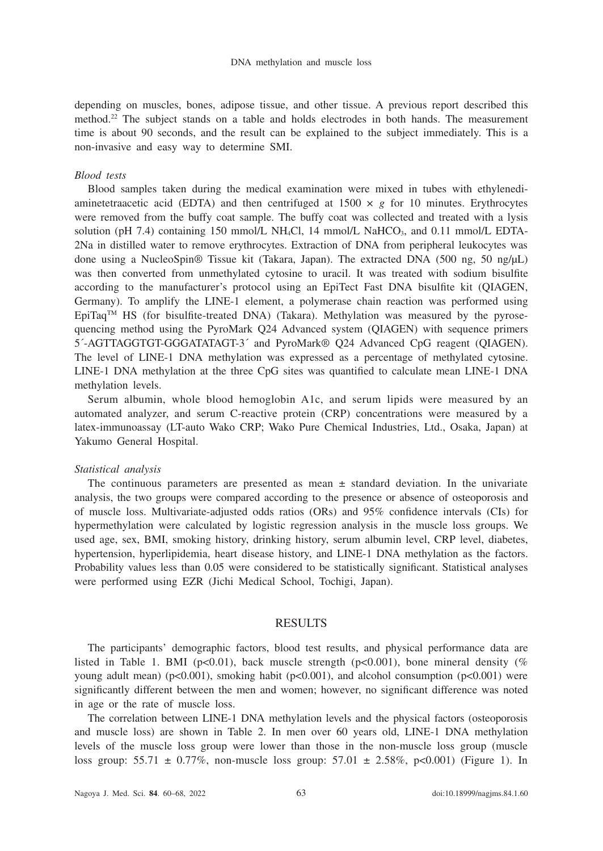depending on muscles, bones, adipose tissue, and other tissue. A previous report described this method.22 The subject stands on a table and holds electrodes in both hands. The measurement time is about 90 seconds, and the result can be explained to the subject immediately. This is a non-invasive and easy way to determine SMI.

### *Blood tests*

Blood samples taken during the medical examination were mixed in tubes with ethylenediaminetetraacetic acid (EDTA) and then centrifuged at  $1500 \times g$  for 10 minutes. Erythrocytes were removed from the buffy coat sample. The buffy coat was collected and treated with a lysis solution (pH 7.4) containing 150 mmol/L NH<sub>4</sub>Cl, 14 mmol/L NaHCO<sub>3</sub>, and 0.11 mmol/L EDTA-2Na in distilled water to remove erythrocytes. Extraction of DNA from peripheral leukocytes was done using a NucleoSpin® Tissue kit (Takara, Japan). The extracted DNA (500 ng, 50 ng/µL) was then converted from unmethylated cytosine to uracil. It was treated with sodium bisulfite according to the manufacturer's protocol using an EpiTect Fast DNA bisulfite kit (QIAGEN, Germany). To amplify the LINE-1 element, a polymerase chain reaction was performed using  $EpiTaq^m$  HS (for bisulfite-treated DNA) (Takara). Methylation was measured by the pyrosequencing method using the PyroMark Q24 Advanced system (QIAGEN) with sequence primers 5´-AGTTAGGTGT-GGGATATAGT-3´ and PyroMark® Q24 Advanced CpG reagent (QIAGEN). The level of LINE-1 DNA methylation was expressed as a percentage of methylated cytosine. LINE-1 DNA methylation at the three CpG sites was quantified to calculate mean LINE-1 DNA methylation levels.

Serum albumin, whole blood hemoglobin A1c, and serum lipids were measured by an automated analyzer, and serum C-reactive protein (CRP) concentrations were measured by a latex-immunoassay (LT-auto Wako CRP; Wako Pure Chemical Industries, Ltd., Osaka, Japan) at Yakumo General Hospital.

#### *Statistical analysis*

The continuous parameters are presented as mean  $\pm$  standard deviation. In the univariate analysis, the two groups were compared according to the presence or absence of osteoporosis and of muscle loss. Multivariate-adjusted odds ratios (ORs) and 95% confidence intervals (CIs) for hypermethylation were calculated by logistic regression analysis in the muscle loss groups. We used age, sex, BMI, smoking history, drinking history, serum albumin level, CRP level, diabetes, hypertension, hyperlipidemia, heart disease history, and LINE-1 DNA methylation as the factors. Probability values less than 0.05 were considered to be statistically significant. Statistical analyses were performed using EZR (Jichi Medical School, Tochigi, Japan).

## RESULTS

The participants' demographic factors, blood test results, and physical performance data are listed in Table 1. BMI ( $p<0.01$ ), back muscle strength ( $p<0.001$ ), bone mineral density (%) young adult mean) ( $p < 0.001$ ), smoking habit ( $p < 0.001$ ), and alcohol consumption ( $p < 0.001$ ) were significantly different between the men and women; however, no significant difference was noted in age or the rate of muscle loss.

The correlation between LINE-1 DNA methylation levels and the physical factors (osteoporosis and muscle loss) are shown in Table 2. In men over 60 years old, LINE-1 DNA methylation levels of the muscle loss group were lower than those in the non-muscle loss group (muscle loss group:  $55.71 \pm 0.77\%$ , non-muscle loss group:  $57.01 \pm 2.58\%$ , p<0.001) (Figure 1). In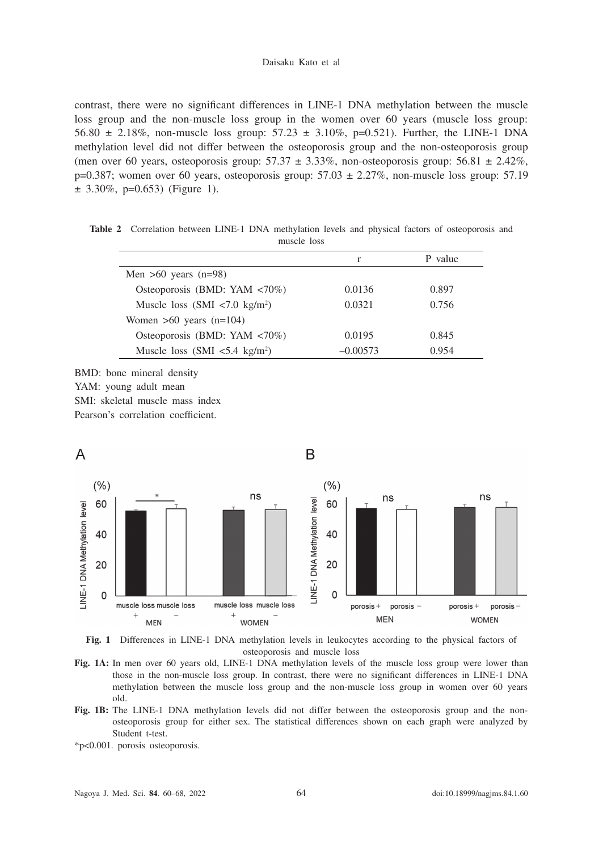contrast, there were no significant differences in LINE-1 DNA methylation between the muscle loss group and the non-muscle loss group in the women over 60 years (muscle loss group: 56.80  $\pm$  2.18%, non-muscle loss group: 57.23  $\pm$  3.10%, p=0.521). Further, the LINE-1 DNA methylation level did not differ between the osteoporosis group and the non-osteoporosis group (men over 60 years, osteoporosis group:  $57.37 \pm 3.33\%$ , non-osteoporosis group:  $56.81 \pm 2.42\%$ ,  $p=0.387$ ; women over 60 years, osteoporosis group:  $57.03 \pm 2.27\%$ , non-muscle loss group:  $57.19$  $\pm$  3.30%, p=0.653) (Figure 1).

r P value Men >60 years (n=98) Osteoporosis (BMD: YAM <70%) 0.0136 0.897 Muscle loss (SMI  $\langle 7.0 \text{ kg/m}^2 \rangle$ ) 0.0321 0.756 Women  $>60$  years (n=104) Osteoporosis (BMD: YAM <70%) 0.0195 0.845 Muscle loss (SMI  $\langle 5.4 \text{ kg/m}^2 \rangle$ ) –0.00573 0.954

**Table 2** Correlation between LINE-1 DNA methylation levels and physical factors of osteoporosis and muscle loss

BMD: bone mineral density YAM: young adult mean SMI: skeletal muscle mass index Pearson's correlation coefficient.



**Fig. 1** Differences in LINE-1 DNA methylation levels in leukocytes according to the physical factors of osteoporosis and muscle loss

- **Fig. 1A:** In men over 60 years old, LINE-1 DNA methylation levels of the muscle loss group were lower than those in the non-muscle loss group. In contrast, there were no significant differences in LINE-1 DNA methylation between the muscle loss group and the non-muscle loss group in women over 60 years old.
- **Fig. 1B:** The LINE-1 DNA methylation levels did not differ between the osteoporosis group and the nonosteoporosis group for either sex. The statistical differences shown on each graph were analyzed by Student t-test.
- \*p<0.001. porosis osteoporosis.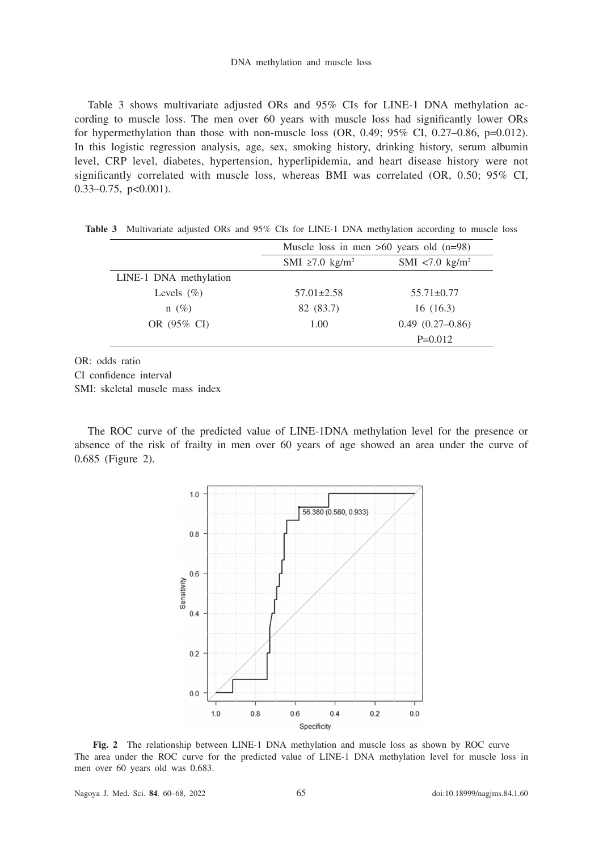Table 3 shows multivariate adjusted ORs and 95% CIs for LINE-1 DNA methylation according to muscle loss. The men over 60 years with muscle loss had significantly lower ORs for hypermethylation than those with non-muscle loss  $(OR, 0.49; 95\% \text{ CI}, 0.27-0.86, p=0.012)$ . In this logistic regression analysis, age, sex, smoking history, drinking history, serum albumin level, CRP level, diabetes, hypertension, hyperlipidemia, and heart disease history were not significantly correlated with muscle loss, whereas BMI was correlated (OR, 0.50; 95% CI,  $0.33 - 0.75$ ,  $p < 0.001$ ).

|                        | Muscle loss in men $>60$ years old $(n=98)$ |                               |  |
|------------------------|---------------------------------------------|-------------------------------|--|
|                        | SMI $\geq 7.0$ kg/m <sup>2</sup>            | $SMI < 7.0$ kg/m <sup>2</sup> |  |
| LINE-1 DNA methylation |                                             |                               |  |
| Levels $(\% )$         | $57.01 \pm 2.58$                            | $55.71 \pm 0.77$              |  |
| $n(\%)$                | 82 (83.7)                                   | 16(16.3)                      |  |
| OR (95% CI)            | 1.00                                        | $0.49(0.27-0.86)$             |  |
|                        |                                             | $P=0.012$                     |  |

**Table 3** Multivariate adjusted ORs and 95% CIs for LINE-1 DNA methylation according to muscle loss

OR: odds ratio

CI confidence interval

SMI: skeletal muscle mass index

The ROC curve of the predicted value of LINE-1DNA methylation level for the presence or absence of the risk of frailty in men over 60 years of age showed an area under the curve of 0.685 (Figure 2).



Fig. 2 The relationship between LINE-1 DNA methylation and muscle loss as shown by ROC curve The area under the ROC curve for the predicted value of LINE-1 DNA methylation level for muscle loss in men over 60 years old was 0.683.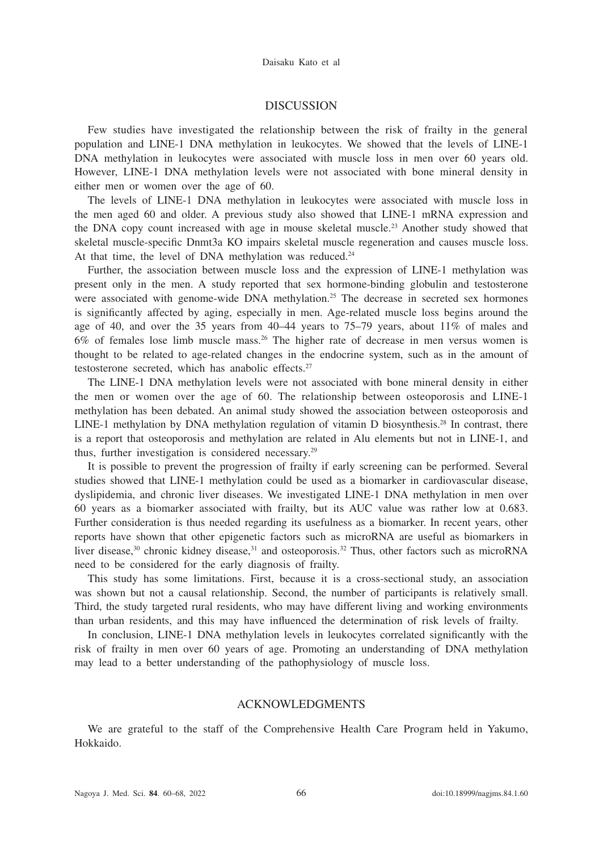#### DISCUSSION

Few studies have investigated the relationship between the risk of frailty in the general population and LINE-1 DNA methylation in leukocytes. We showed that the levels of LINE-1 DNA methylation in leukocytes were associated with muscle loss in men over 60 years old. However, LINE-1 DNA methylation levels were not associated with bone mineral density in either men or women over the age of 60.

The levels of LINE-1 DNA methylation in leukocytes were associated with muscle loss in the men aged 60 and older. A previous study also showed that LINE-1 mRNA expression and the DNA copy count increased with age in mouse skeletal muscle.23 Another study showed that skeletal muscle-specific Dnmt3a KO impairs skeletal muscle regeneration and causes muscle loss. At that time, the level of DNA methylation was reduced.<sup>24</sup>

Further, the association between muscle loss and the expression of LINE-1 methylation was present only in the men. A study reported that sex hormone-binding globulin and testosterone were associated with genome-wide DNA methylation.<sup>25</sup> The decrease in secreted sex hormones is significantly affected by aging, especially in men. Age-related muscle loss begins around the age of 40, and over the 35 years from  $40-44$  years to 75–79 years, about  $11\%$  of males and 6% of females lose limb muscle mass.26 The higher rate of decrease in men versus women is thought to be related to age-related changes in the endocrine system, such as in the amount of testosterone secreted, which has anabolic effects.<sup>27</sup>

The LINE-1 DNA methylation levels were not associated with bone mineral density in either the men or women over the age of 60. The relationship between osteoporosis and LINE-1 methylation has been debated. An animal study showed the association between osteoporosis and LINE-1 methylation by DNA methylation regulation of vitamin D biosynthesis.<sup>28</sup> In contrast, there is a report that osteoporosis and methylation are related in Alu elements but not in LINE-1, and thus, further investigation is considered necessary.29

It is possible to prevent the progression of frailty if early screening can be performed. Several studies showed that LINE-1 methylation could be used as a biomarker in cardiovascular disease, dyslipidemia, and chronic liver diseases. We investigated LINE-1 DNA methylation in men over 60 years as a biomarker associated with frailty, but its AUC value was rather low at 0.683. Further consideration is thus needed regarding its usefulness as a biomarker. In recent years, other reports have shown that other epigenetic factors such as microRNA are useful as biomarkers in liver disease, $30$  chronic kidney disease, $31$  and osteoporosis. $32$  Thus, other factors such as microRNA need to be considered for the early diagnosis of frailty.

This study has some limitations. First, because it is a cross-sectional study, an association was shown but not a causal relationship. Second, the number of participants is relatively small. Third, the study targeted rural residents, who may have different living and working environments than urban residents, and this may have influenced the determination of risk levels of frailty.

In conclusion, LINE-1 DNA methylation levels in leukocytes correlated significantly with the risk of frailty in men over 60 years of age. Promoting an understanding of DNA methylation may lead to a better understanding of the pathophysiology of muscle loss.

## ACKNOWLEDGMENTS

We are grateful to the staff of the Comprehensive Health Care Program held in Yakumo, Hokkaido.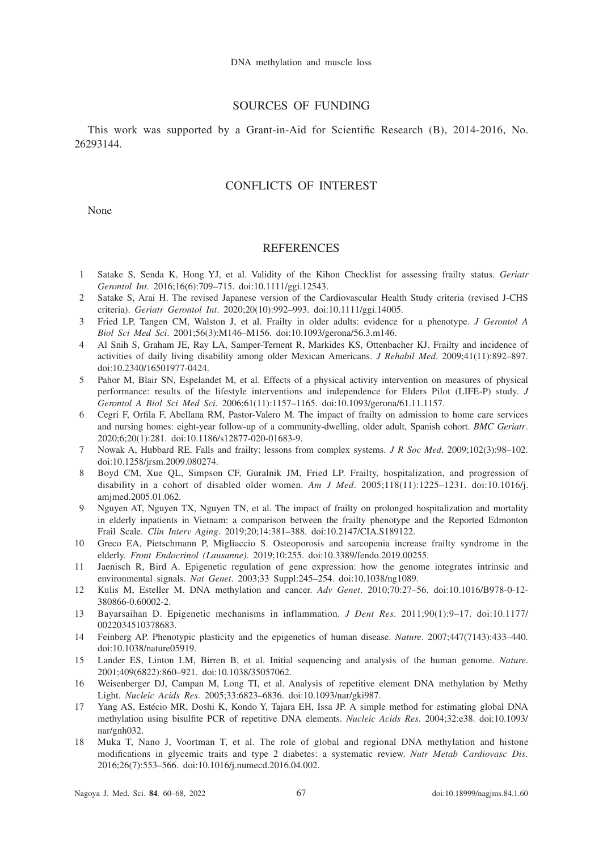## SOURCES OF FUNDING

This work was supported by a Grant-in-Aid for Scientific Research (B), 2014-2016, No. 26293144.

## CONFLICTS OF INTEREST

None

## **REFERENCES**

- 1 Satake S, Senda K, Hong YJ, et al. Validity of the Kihon Checklist for assessing frailty status. *Geriatr Gerontol Int*. 2016;16(6):709–715. doi:10.1111/ggi.12543.
- 2 Satake S, Arai H. The revised Japanese version of the Cardiovascular Health Study criteria (revised J-CHS criteria). *Geriatr Gerontol Int*. 2020;20(10):992–993. doi:10.1111/ggi.14005.
- 3 Fried LP, Tangen CM, Walston J, et al. Frailty in older adults: evidence for a phenotype. *J Gerontol A Biol Sci Med Sci*. 2001;56(3):M146–M156. doi:10.1093/gerona/56.3.m146.
- 4 Al Snih S, Graham JE, Ray LA, Samper-Ternent R, Markides KS, Ottenbacher KJ. Frailty and incidence of activities of daily living disability among older Mexican Americans. *J Rehabil Med*. 2009;41(11):892–897. doi:10.2340/16501977-0424.
- 5 Pahor M, Blair SN, Espelandet M, et al. Effects of a physical activity intervention on measures of physical performance: results of the lifestyle interventions and independence for Elders Pilot (LIFE-P) study. *J Gerontol A Biol Sci Med Sci*. 2006;61(11):1157–1165. doi:10.1093/gerona/61.11.1157.
- 6 Cegri F, Orfila F, Abellana RM, Pastor-Valero M. The impact of frailty on admission to home care services and nursing homes: eight-year follow-up of a community-dwelling, older adult, Spanish cohort. *BMC Geriatr*. 2020;6;20(1):281. doi:10.1186/s12877-020-01683-9.
- 7 Nowak A, Hubbard RE. Falls and frailty: lessons from complex systems. *J R Soc Med*. 2009;102(3):98–102. doi:10.1258/jrsm.2009.080274.
- 8 Boyd CM, Xue QL, Simpson CF, Guralnik JM, Fried LP. Frailty, hospitalization, and progression of disability in a cohort of disabled older women. *Am J Med*. 2005;118(11):1225–1231. doi:10.1016/j. amjmed.2005.01.062.
- 9 Nguyen AT, Nguyen TX, Nguyen TN, et al. The impact of frailty on prolonged hospitalization and mortality in elderly inpatients in Vietnam: a comparison between the frailty phenotype and the Reported Edmonton Frail Scale. *Clin Interv Aging*. 2019;20;14:381–388. doi:10.2147/CIA.S189122.
- 10 Greco EA, Pietschmann P, Migliaccio S. Osteoporosis and sarcopenia increase frailty syndrome in the elderly. *Front Endocrinol (Lausanne)*. 2019;10:255. doi:10.3389/fendo.2019.00255.
- 11 Jaenisch R, Bird A. Epigenetic regulation of gene expression: how the genome integrates intrinsic and environmental signals. *Nat Genet*. 2003;33 Suppl:245–254. doi:10.1038/ng1089.
- 12 Kulis M, Esteller M. DNA methylation and cancer. *Adv Genet*. 2010;70:27–56. doi:10.1016/B978-0-12- 380866-0.60002-2.
- 13 Bayarsaihan D. Epigenetic mechanisms in inflammation. *J Dent Res*. 2011;90(1):9–17. doi:10.1177/ 0022034510378683.
- 14 Feinberg AP. Phenotypic plasticity and the epigenetics of human disease. *Nature*. 2007;447(7143):433–440. doi:10.1038/nature05919.
- 15 Lander ES, Linton LM, Birren B, et al. Initial sequencing and analysis of the human genome. *Nature*. 2001;409(6822):860–921. doi:10.1038/35057062.
- 16 Weisenberger DJ, Campan M, Long TI, et al. Analysis of repetitive element DNA methylation by Methy Light. *Nucleic Acids Res*. 2005;33:6823–6836. doi:10.1093/nar/gki987.
- 17 Yang AS, Estécio MR, Doshi K, Kondo Y, Tajara EH, Issa JP. A simple method for estimating global DNA methylation using bisulfite PCR of repetitive DNA elements. *Nucleic Acids Res*. 2004;32:e38. doi:10.1093/ nar/gnh032.
- 18 Muka T, Nano J, Voortman T, et al. The role of global and regional DNA methylation and histone modifications in glycemic traits and type 2 diabetes: a systematic review. *Nutr Metab Cardiovasc Dis*. 2016;26(7):553–566. doi:10.1016/j.numecd.2016.04.002.